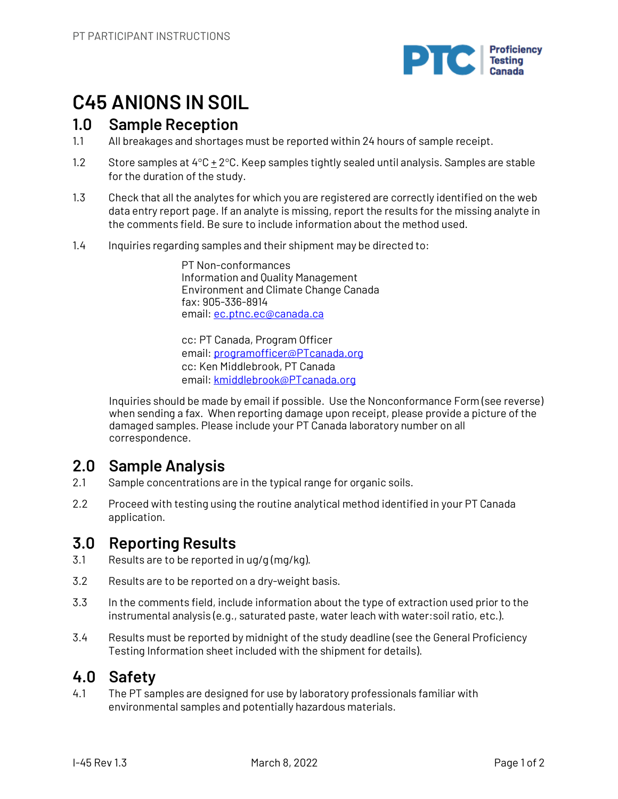

# **C45 ANIONS IN SOIL**

## **1.0 Sample Reception**

- 1.1 All breakages and shortages must be reported within 24 hours of sample receipt.
- 1.2 Store samples at 4°C + 2°C. Keep samples tightly sealed until analysis. Samples are stable for the duration of the study.
- 1.3 Check that all the analytes for which you are registered are correctly identified on the web data entry report page. If an analyte is missing, report the results for the missing analyte in the comments field. Be sure to include information about the method used.
- 1.4 Inquiries regarding samples and their shipment may be directed to:

PT Non-conformances Information and Quality Management Environment and Climate Change Canada fax: 905-336-8914 email: ec.ptnc.ec@canada.ca

cc: PT Canada, Program Officer email: programofficer@PTcanada.org cc: Ken Middlebrook, PT Canada email: kmiddlebrook@PTcanada.org

Inquiries should be made by email if possible. Use the Nonconformance Form (see reverse) when sending a fax. When reporting damage upon receipt, please provide a picture of the damaged samples. Please include your PT Canada laboratory number on all correspondence.

# **2.0 Sample Analysis**

- 2.1 Sample concentrations are in the typical range for organic soils.
- 2.2 Proceed with testing using the routine analytical method identified in your PT Canada application.

# **3.0 Reporting Results**

- 3.1 Results are to be reported in ug/g (mg/kg).
- 3.2 Results are to be reported on a dry-weight basis.
- 3.3 In the comments field, include information about the type of extraction used prior to the instrumental analysis (e.g., saturated paste, water leach with water:soil ratio, etc.).
- 3.4 Results must be reported by midnight of the study deadline (see the General Proficiency Testing Information sheet included with the shipment for details).

# **4.0 Safety**

4.1 The PT samples are designed for use by laboratory professionals familiar with environmental samples and potentially hazardous materials.